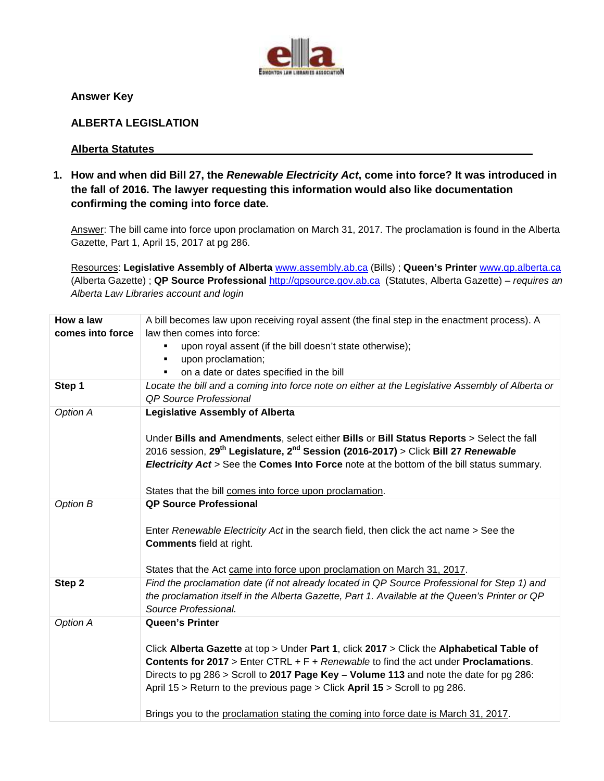

**Answer Key** 

#### **ALBERTA LEGISLATION**

#### **Alberta Statutes**

**1. How and when did Bill 27, the Renewable Electricity Act, come into force? It was introduced in the fall of 2016. The lawyer requesting this information would also like documentation confirming the coming into force date.** 

Answer: The bill came into force upon proclamation on March 31, 2017. The proclamation is found in the Alberta Gazette, Part 1, April 15, 2017 at pg 286.

Resources: **Legislative Assembly of Alberta** www.assembly.ab.ca (Bills) ; **Queen's Printer** www.qp.alberta.ca (Alberta Gazette) ; **QP Source Professional** http://qpsource.gov.ab.ca (Statutes, Alberta Gazette) – requires an Alberta Law Libraries account and login

| How a law        |                                                                                                           |
|------------------|-----------------------------------------------------------------------------------------------------------|
|                  | A bill becomes law upon receiving royal assent (the final step in the enactment process). A               |
| comes into force | law then comes into force:                                                                                |
|                  | upon royal assent (if the bill doesn't state otherwise);                                                  |
|                  | upon proclamation;                                                                                        |
|                  | on a date or dates specified in the bill                                                                  |
| Step 1           | Locate the bill and a coming into force note on either at the Legislative Assembly of Alberta or          |
|                  | <b>QP Source Professional</b>                                                                             |
| Option A         | <b>Legislative Assembly of Alberta</b>                                                                    |
|                  |                                                                                                           |
|                  | Under Bills and Amendments, select either Bills or Bill Status Reports > Select the fall                  |
|                  | 2016 session, 29 <sup>th</sup> Legislature, 2 <sup>nd</sup> Session (2016-2017) > Click Bill 27 Renewable |
|                  | Electricity Act > See the Comes Into Force note at the bottom of the bill status summary.                 |
|                  |                                                                                                           |
|                  | States that the bill comes into force upon proclamation.                                                  |
| Option B         | <b>QP Source Professional</b>                                                                             |
|                  |                                                                                                           |
|                  | Enter Renewable Electricity Act in the search field, then click the act name > See the                    |
|                  | <b>Comments field at right.</b>                                                                           |
|                  |                                                                                                           |
|                  | States that the Act came into force upon proclamation on March 31, 2017.                                  |
| Step 2           | Find the proclamation date (if not already located in QP Source Professional for Step 1) and              |
|                  | the proclamation itself in the Alberta Gazette, Part 1. Available at the Queen's Printer or QP            |
|                  | Source Professional.                                                                                      |
| Option A         | <b>Queen's Printer</b>                                                                                    |
|                  |                                                                                                           |
|                  | Click Alberta Gazette at top > Under Part 1, click 2017 > Click the Alphabetical Table of                 |
|                  | <b>Contents for 2017</b> > Enter CTRL + $F$ + Renewable to find the act under <b>Proclamations</b> .      |
|                  |                                                                                                           |
|                  | Directs to pg 286 > Scroll to 2017 Page Key - Volume 113 and note the date for pg 286:                    |
|                  | April 15 > Return to the previous page > Click April 15 > Scroll to pg 286.                               |
|                  |                                                                                                           |
|                  | Brings you to the proclamation stating the coming into force date is March 31, 2017.                      |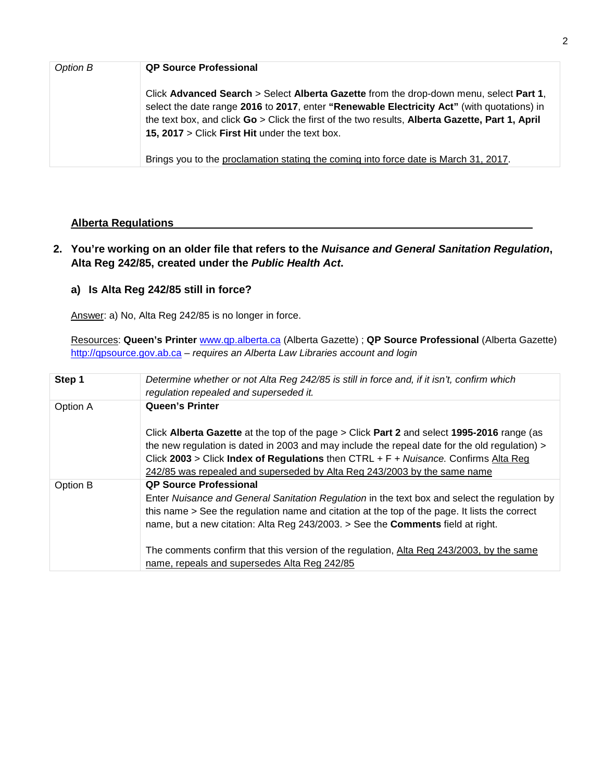| Option B | <b>QP Source Professional</b>                                                                                                                                                                                                                                                                                                             |
|----------|-------------------------------------------------------------------------------------------------------------------------------------------------------------------------------------------------------------------------------------------------------------------------------------------------------------------------------------------|
|          | Click Advanced Search > Select Alberta Gazette from the drop-down menu, select Part 1,<br>select the date range 2016 to 2017, enter "Renewable Electricity Act" (with quotations) in<br>the text box, and click Go > Click the first of the two results, Alberta Gazette, Part 1, April<br>15, 2017 > Click First Hit under the text box. |
|          | Brings you to the proclamation stating the coming into force date is March 31, 2017.                                                                                                                                                                                                                                                      |

### **Alberta Regulations**

## **2. You're working on an older file that refers to the Nuisance and General Sanitation Regulation, Alta Reg 242/85, created under the Public Health Act.**

## **a) Is Alta Reg 242/85 still in force?**

Answer: a) No, Alta Reg 242/85 is no longer in force.

Resources: **Queen's Printer** www.qp.alberta.ca (Alberta Gazette) ; **QP Source Professional** (Alberta Gazette) http://qpsource.gov.ab.ca - requires an Alberta Law Libraries account and login

| Step 1   | Determine whether or not Alta Reg 242/85 is still in force and, if it isn't, confirm which<br>regulation repealed and superseded it.                                                                                                                                                                                                                              |
|----------|-------------------------------------------------------------------------------------------------------------------------------------------------------------------------------------------------------------------------------------------------------------------------------------------------------------------------------------------------------------------|
| Option A | <b>Queen's Printer</b>                                                                                                                                                                                                                                                                                                                                            |
|          | Click Alberta Gazette at the top of the page > Click Part 2 and select 1995-2016 range (as<br>the new regulation is dated in 2003 and may include the repeal date for the old regulation) ><br>Click 2003 > Click Index of Regulations then CTRL + $F + Nuisance$ . Confirms Alta Reg<br>242/85 was repealed and superseded by Alta Reg 243/2003 by the same name |
| Option B | <b>QP Source Professional</b><br>Enter Nuisance and General Sanitation Regulation in the text box and select the regulation by<br>this name > See the regulation name and citation at the top of the page. It lists the correct<br>name, but a new citation: Alta Reg 243/2003. > See the <b>Comments</b> field at right.                                         |
|          | The comments confirm that this version of the regulation, Alta Reg 243/2003, by the same<br>name, repeals and supersedes Alta Reg 242/85                                                                                                                                                                                                                          |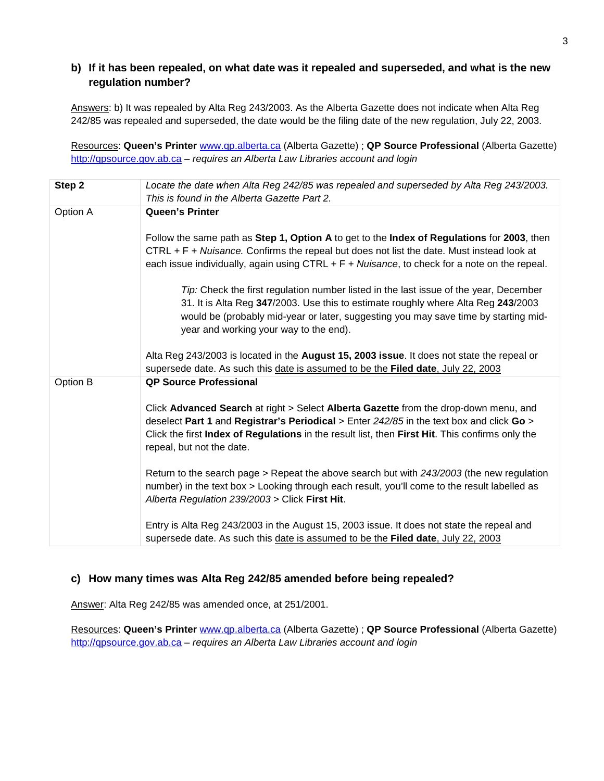### **b) If it has been repealed, on what date was it repealed and superseded, and what is the new regulation number?**

Answers: b) It was repealed by Alta Reg 243/2003. As the Alberta Gazette does not indicate when Alta Reg 242/85 was repealed and superseded, the date would be the filing date of the new regulation, July 22, 2003.

Resources: **Queen's Printer** www.qp.alberta.ca (Alberta Gazette) ; **QP Source Professional** (Alberta Gazette) http://qpsource.gov.ab.ca - requires an Alberta Law Libraries account and login

| Step 2   | Locate the date when Alta Reg 242/85 was repealed and superseded by Alta Reg 243/2003.<br>This is found in the Alberta Gazette Part 2.                                                                                                                                                                                                                                                                                                                                                                                                                                                                                                                                                                                                                                                                                                                                    |
|----------|---------------------------------------------------------------------------------------------------------------------------------------------------------------------------------------------------------------------------------------------------------------------------------------------------------------------------------------------------------------------------------------------------------------------------------------------------------------------------------------------------------------------------------------------------------------------------------------------------------------------------------------------------------------------------------------------------------------------------------------------------------------------------------------------------------------------------------------------------------------------------|
| Option A | <b>Queen's Printer</b><br>Follow the same path as Step 1, Option A to get to the Index of Regulations for 2003, then<br>CTRL + F + Nuisance. Confirms the repeal but does not list the date. Must instead look at<br>each issue individually, again using $CTRL + F + Nuisance$ , to check for a note on the repeal.<br>Tip: Check the first regulation number listed in the last issue of the year, December<br>31. It is Alta Reg 347/2003. Use this to estimate roughly where Alta Reg 243/2003<br>would be (probably mid-year or later, suggesting you may save time by starting mid-<br>year and working your way to the end).<br>Alta Reg 243/2003 is located in the August 15, 2003 issue. It does not state the repeal or                                                                                                                                         |
| Option B | supersede date. As such this date is assumed to be the Filed date, July 22, 2003<br><b>QP Source Professional</b><br>Click Advanced Search at right > Select Alberta Gazette from the drop-down menu, and<br>deselect Part 1 and Registrar's Periodical > Enter $242/85$ in the text box and click Go ><br>Click the first Index of Regulations in the result list, then First Hit. This confirms only the<br>repeal, but not the date.<br>Return to the search page > Repeat the above search but with $243/2003$ (the new regulation<br>number) in the text box > Looking through each result, you'll come to the result labelled as<br>Alberta Regulation 239/2003 > Click First Hit.<br>Entry is Alta Reg 243/2003 in the August 15, 2003 issue. It does not state the repeal and<br>supersede date. As such this date is assumed to be the Filed date, July 22, 2003 |

#### **c) How many times was Alta Reg 242/85 amended before being repealed?**

Answer: Alta Reg 242/85 was amended once, at 251/2001.

Resources: **Queen's Printer** www.qp.alberta.ca (Alberta Gazette) ; **QP Source Professional** (Alberta Gazette) http://qpsource.gov.ab.ca - requires an Alberta Law Libraries account and login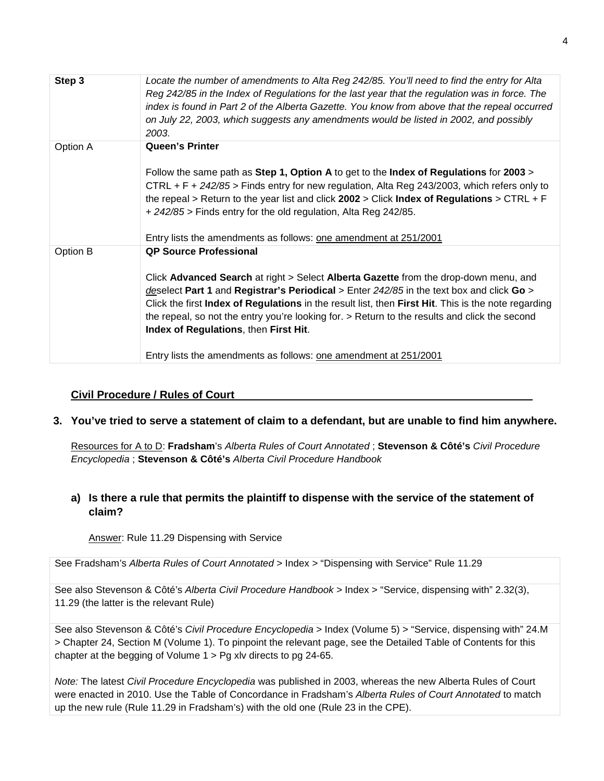| Step 3   | Locate the number of amendments to Alta Reg 242/85. You'll need to find the entry for Alta<br>Reg 242/85 in the Index of Regulations for the last year that the regulation was in force. The<br>index is found in Part 2 of the Alberta Gazette. You know from above that the repeal occurred<br>on July 22, 2003, which suggests any amendments would be listed in 2002, and possibly<br>2003.                                                                                                                                          |
|----------|------------------------------------------------------------------------------------------------------------------------------------------------------------------------------------------------------------------------------------------------------------------------------------------------------------------------------------------------------------------------------------------------------------------------------------------------------------------------------------------------------------------------------------------|
| Option A | <b>Queen's Printer</b><br>Follow the same path as Step 1, Option A to get to the Index of Regulations for 2003 ><br>CTRL + F + 242/85 > Finds entry for new regulation, Alta Reg 243/2003, which refers only to<br>the repeal > Return to the year list and click $2002$ > Click Index of Regulations > CTRL + F<br>+ 242/85 > Finds entry for the old regulation, Alta Reg 242/85.<br>Entry lists the amendments as follows: one amendment at 251/2001                                                                                  |
| Option B | <b>QP Source Professional</b><br>Click Advanced Search at right > Select Alberta Gazette from the drop-down menu, and<br>deselect Part 1 and Registrar's Periodical > Enter $242/85$ in the text box and click Go ><br>Click the first Index of Regulations in the result list, then First Hit. This is the note regarding<br>the repeal, so not the entry you're looking for. > Return to the results and click the second<br>Index of Regulations, then First Hit.<br>Entry lists the amendments as follows: one amendment at 251/2001 |

#### **Civil Procedure / Rules of Court**

#### **3. You've tried to serve a statement of claim to a defendant, but are unable to find him anywhere.**

Resources for A to D: **Fradsham**'s Alberta Rules of Court Annotated ; **Stevenson & Côté's** Civil Procedure Encyclopedia ; **Stevenson & Côté's** Alberta Civil Procedure Handbook

### **a) Is there a rule that permits the plaintiff to dispense with the service of the statement of claim?**

Answer: Rule 11.29 Dispensing with Service

See Fradsham's Alberta Rules of Court Annotated > Index > "Dispensing with Service" Rule 11.29

See also Stevenson & Côté's Alberta Civil Procedure Handbook > Index > "Service, dispensing with" 2.32(3), 11.29 (the latter is the relevant Rule)

See also Stevenson & Côté's Civil Procedure Encyclopedia > Index (Volume 5) > "Service, dispensing with" 24.M > Chapter 24, Section M (Volume 1). To pinpoint the relevant page, see the Detailed Table of Contents for this chapter at the begging of Volume 1 > Pg xlv directs to pg 24-65.

Note: The latest Civil Procedure Encyclopedia was published in 2003, whereas the new Alberta Rules of Court were enacted in 2010. Use the Table of Concordance in Fradsham's Alberta Rules of Court Annotated to match up the new rule (Rule 11.29 in Fradsham's) with the old one (Rule 23 in the CPE).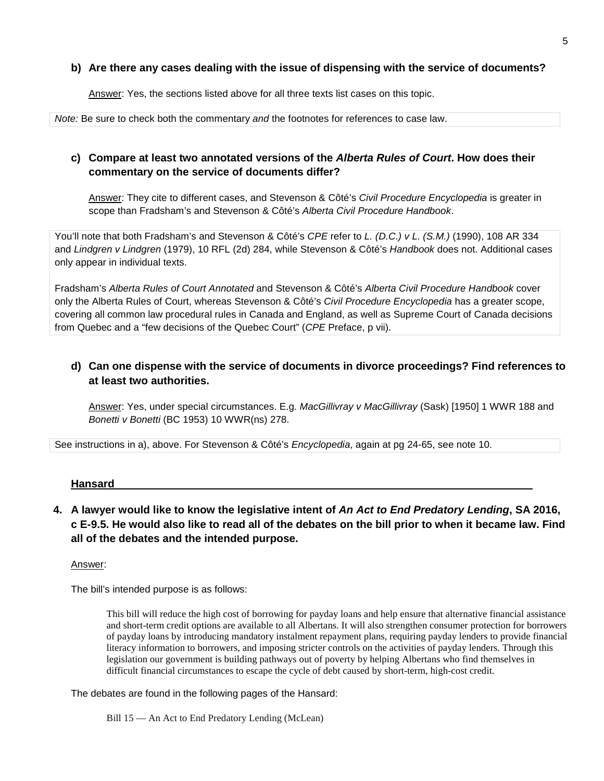#### **b) Are there any cases dealing with the issue of dispensing with the service of documents?**

Answer: Yes, the sections listed above for all three texts list cases on this topic.

Note: Be sure to check both the commentary and the footnotes for references to case law.

### **c) Compare at least two annotated versions of the Alberta Rules of Court. How does their commentary on the service of documents differ?**

Answer: They cite to different cases, and Stevenson & Côté's Civil Procedure Encyclopedia is greater in scope than Fradsham's and Stevenson & Côté's Alberta Civil Procedure Handbook.

You'll note that both Fradsham's and Stevenson & Côté's CPE refer to L. (D.C.) v L. (S.M.) (1990), 108 AR 334 and Lindgren v Lindgren (1979), 10 RFL (2d) 284, while Stevenson & Côté's Handbook does not. Additional cases only appear in individual texts.

Fradsham's Alberta Rules of Court Annotated and Stevenson & Côté's Alberta Civil Procedure Handbook cover only the Alberta Rules of Court, whereas Stevenson & Côté's Civil Procedure Encyclopedia has a greater scope, covering all common law procedural rules in Canada and England, as well as Supreme Court of Canada decisions from Quebec and a "few decisions of the Quebec Court" (CPE Preface, p vii).

# **d) Can one dispense with the service of documents in divorce proceedings? Find references to at least two authorities.**

Answer: Yes, under special circumstances. E.g. MacGillivray v MacGillivray (Sask) [1950] 1 WWR 188 and Bonetti v Bonetti (BC 1953) 10 WWR(ns) 278.

See instructions in a), above. For Stevenson & Côté's Encyclopedia, again at pg 24-65, see note 10.

#### **Hansard**

**4. A lawyer would like to know the legislative intent of An Act to End Predatory Lending, SA 2016, c E-9.5. He would also like to read all of the debates on the bill prior to when it became law. Find all of the debates and the intended purpose.** 

#### Answer:

The bill's intended purpose is as follows:

This bill will reduce the high cost of borrowing for payday loans and help ensure that alternative financial assistance and short-term credit options are available to all Albertans. It will also strengthen consumer protection for borrowers of payday loans by introducing mandatory instalment repayment plans, requiring payday lenders to provide financial literacy information to borrowers, and imposing stricter controls on the activities of payday lenders. Through this legislation our government is building pathways out of poverty by helping Albertans who find themselves in difficult financial circumstances to escape the cycle of debt caused by short-term, high-cost credit.

The debates are found in the following pages of the Hansard:

Bill 15 — An Act to End Predatory Lending (McLean)